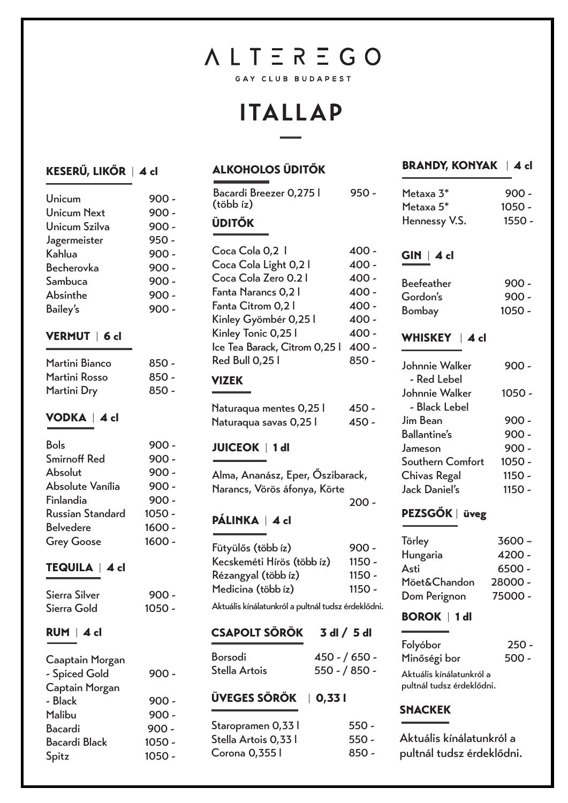# **ALTEREGO**

GAY CLUB BUDAPEST

### **ITALLAP**

#### KESERŰ, LIKŐR | 4 cl

| Unicum             | $900 -$ |
|--------------------|---------|
| <b>Unicum Next</b> | $900 -$ |
| Unicum Szilva      | $900 -$ |
| Jagermeister       | $950 -$ |
| Kahlua             | $900 -$ |
| <b>Becherovka</b>  | $900 -$ |
| Sambuca            | $900 -$ |
| Absinthe           | $900 -$ |
| <b>Bailey's</b>    | $900 -$ |
|                    |         |

#### VERMUT | 6 cl

| Martini Bianco | $850 -$ |
|----------------|---------|
| Martini Rosso  | $850 -$ |
| Martini Dry    | $850 -$ |

#### VODKA | 4 cl

| <b>Bols</b>             | $900 -$  |
|-------------------------|----------|
| <b>Smirnoff Red</b>     | $900 -$  |
| Absolut                 | $900 -$  |
| Absolute Vanília        | $900 -$  |
| Finlandia               | $900 -$  |
| <b>Russian Standard</b> | $1050 -$ |
| <b>Belvedere</b>        | $1600 -$ |
| <b>Grey Goose</b>       | $1600 -$ |
|                         |          |

#### TEQUILA | 4 cl

| Sierra Silver | $900 -$  |
|---------------|----------|
| Sierra Gold   | $1050 -$ |

#### RUM | 4 cl

| Caaptain Morgan      |          |
|----------------------|----------|
| - Spiced Gold        | $900 -$  |
| Captain Morgan       |          |
| - Black              | $900 -$  |
| Malibu               | $900 -$  |
| <b>Bacardi</b>       | $900 -$  |
| <b>Bacardi Black</b> | $1050 -$ |
| Spitz                | $1050 -$ |
|                      |          |

### ALKOHOLOS ÜDITŐK

| Bacardi Breezer 0,275 l<br>(több íz) | 950   |
|--------------------------------------|-------|
| <b>ÜDITŐK</b>                        |       |
| Coca Cola 0,2 1                      | 400 - |
| Coca Cola Light 0,21                 | 400 - |
| Coca Cola Zero 0.2 l                 | 400 - |
| Fanta Narancs 0,2 l                  | 400 - |
| Fanta Citrom 0,2 l                   | 400 - |
| Kinley Gyömbér 0,25 l                | 400 - |
| Kinley Tonic 0,25 l                  | 400 - |
| lce Tea Barack, Citrom 0,25 l        | 400 - |
| Red Bull 0,25 l                      | 850 - |
| <b>VIZEK</b>                         |       |
| Naturaqua mentes 0.25 l              | 450 - |

| Naturaqua mentes 0,25 l | 450 - |
|-------------------------|-------|
| Naturaqua savas 0,25 l  | 450 - |

#### JUICEOK | 1 dl

| Alma, Ananász, Eper, Őszibarack,<br>Narancs, Vörös áfonya, Körte |         |
|------------------------------------------------------------------|---------|
|                                                                  | $200 -$ |
| PÁLINKA   4 cl                                                   |         |

| Fütyülős (több íz)         | $900 -$ |
|----------------------------|---------|
| Kecskeméti Hírös (több íz) | 1150 -  |
| Rézangyal (több íz)        | 1150 -  |
| Medicina (több íz)         | 1150 -  |
|                            |         |

Aktuális kínálatunkról a pultnál tudsz érdeklődni.

#### CSAPOLT SÖRÖK 3 dl / 5 dl

| Borsodi       | $450 - 650 -$ |
|---------------|---------------|
| Stella Artois | $550 - 850 -$ |

#### ÜVEGES SÖRÖK | 0,33 l

| Staropramen 0,33 l   | $550 -$ |
|----------------------|---------|
| Stella Artois 0,33 l | $550 -$ |
| Corona 0,355 l       | $850 -$ |

#### BRANDY, KONYAK | 4 cl

| Metaxa 3*             | $900 -$  |
|-----------------------|----------|
| Metaxa 5 <sup>*</sup> | $1050 -$ |
| Hennessy V.S.         | $1550 -$ |

#### GIN | 4 cl

i

| <b>Beefeather</b> | $900 -$  |
|-------------------|----------|
| Gordon's          | $900 -$  |
| <b>Bombay</b>     | $1050 -$ |

#### WHISKEY | 4 cl

| Johnnie Walker       | 900 -    |
|----------------------|----------|
| - Red Lebel          |          |
| Johnnie Walker       | 1050 -   |
| - Black Lebel        |          |
| Jim Bean             | $900 -$  |
| <b>Ballantine's</b>  | $900 -$  |
| Jameson              | $900 -$  |
| Southern Comfort     | $1050 -$ |
| <b>Chivas Regal</b>  | $1150 -$ |
| <b>Jack Daniel's</b> | $1150 -$ |

#### PEZSGŐK | üveg

| Törley       | $3600 -$ |
|--------------|----------|
| Hungaria     | $4200 -$ |
| Asti         | $6500 -$ |
| Möet&Chandon | 28000 -  |
| Dom Perignon | 75000 -  |

#### BOROK | 1 dl

| Folyóbor                  | $250 -$ |
|---------------------------|---------|
| Minőségi bor              | $500 -$ |
| Aktuális kínálatunkról a  |         |
| pultnál tudsz érdeklődni. |         |

#### SNACKEK

| Aktuális kínálatunkról a  |
|---------------------------|
| pultnál tudsz érdeklődni. |